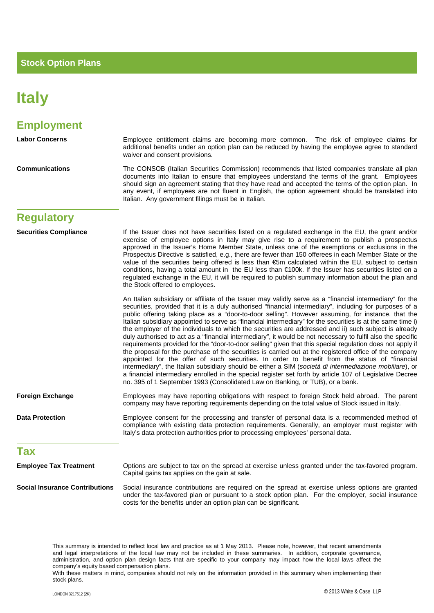## **Italy**

| <b>Employment</b>                     |                                                                                                                                                                                                                                                                                                                                                                                                                                                                                                                                                                                                                                                                                                                                                                                                                                                                                                                                                                                                                                                                                                                                                                                                                                                                                                  |
|---------------------------------------|--------------------------------------------------------------------------------------------------------------------------------------------------------------------------------------------------------------------------------------------------------------------------------------------------------------------------------------------------------------------------------------------------------------------------------------------------------------------------------------------------------------------------------------------------------------------------------------------------------------------------------------------------------------------------------------------------------------------------------------------------------------------------------------------------------------------------------------------------------------------------------------------------------------------------------------------------------------------------------------------------------------------------------------------------------------------------------------------------------------------------------------------------------------------------------------------------------------------------------------------------------------------------------------------------|
| <b>Labor Concerns</b>                 | Employee entitlement claims are becoming more common. The risk of employee claims for<br>additional benefits under an option plan can be reduced by having the employee agree to standard<br>waiver and consent provisions.                                                                                                                                                                                                                                                                                                                                                                                                                                                                                                                                                                                                                                                                                                                                                                                                                                                                                                                                                                                                                                                                      |
| <b>Communications</b>                 | The CONSOB (Italian Securities Commission) recommends that listed companies translate all plan<br>documents into Italian to ensure that employees understand the terms of the grant. Employees<br>should sign an agreement stating that they have read and accepted the terms of the option plan. In<br>any event, if employees are not fluent in English, the option agreement should be translated into<br>Italian. Any government filings must be in Italian.                                                                                                                                                                                                                                                                                                                                                                                                                                                                                                                                                                                                                                                                                                                                                                                                                                 |
| <b>Regulatory</b>                     |                                                                                                                                                                                                                                                                                                                                                                                                                                                                                                                                                                                                                                                                                                                                                                                                                                                                                                                                                                                                                                                                                                                                                                                                                                                                                                  |
| <b>Securities Compliance</b>          | If the Issuer does not have securities listed on a regulated exchange in the EU, the grant and/or<br>exercise of employee options in Italy may give rise to a requirement to publish a prospectus<br>approved in the Issuer's Home Member State, unless one of the exemptions or exclusions in the<br>Prospectus Directive is satisfied, e.g., there are fewer than 150 offerees in each Member State or the<br>value of the securities being offered is less than €5m calculated within the EU, subject to certain<br>conditions, having a total amount in the EU less than €100k. If the Issuer has securities listed on a<br>regulated exchange in the EU, it will be required to publish summary information about the plan and<br>the Stock offered to employees.                                                                                                                                                                                                                                                                                                                                                                                                                                                                                                                           |
|                                       | An Italian subsidiary or affiliate of the Issuer may validly serve as a "financial intermediary" for the<br>securities, provided that it is a duly authorised "financial intermediary", including for purposes of a<br>public offering taking place as a "door-to-door selling". However assuming, for instance, that the<br>Italian subsidiary appointed to serve as "financial intermediary" for the securities is at the same time i)<br>the employer of the individuals to which the securities are addressed and ii) such subject is already<br>duly authorised to act as a "financial intermediary", it would be not necessary to fulfil also the specific<br>requirements provided for the "door-to-door selling" given that this special regulation does not apply if<br>the proposal for the purchase of the securities is carried out at the registered office of the company<br>appointed for the offer of such securities. In order to benefit from the status of "financial<br>intermediary", the Italian subsidiary should be either a SIM (società di intermediazione mobiliare), or<br>a financial intermediary enrolled in the special register set forth by article 107 of Legislative Decree<br>no. 395 of 1 September 1993 (Consolidated Law on Banking, or TUB), or a bank. |
| <b>Foreign Exchange</b>               | Employees may have reporting obligations with respect to foreign Stock held abroad. The parent<br>company may have reporting requirements depending on the total value of Stock issued in Italy.                                                                                                                                                                                                                                                                                                                                                                                                                                                                                                                                                                                                                                                                                                                                                                                                                                                                                                                                                                                                                                                                                                 |
| <b>Data Protection</b>                | Employee consent for the processing and transfer of personal data is a recommended method of<br>compliance with existing data protection requirements. Generally, an employer must register with<br>Italy's data protection authorities prior to processing employees' personal data.                                                                                                                                                                                                                                                                                                                                                                                                                                                                                                                                                                                                                                                                                                                                                                                                                                                                                                                                                                                                            |
| Tax                                   |                                                                                                                                                                                                                                                                                                                                                                                                                                                                                                                                                                                                                                                                                                                                                                                                                                                                                                                                                                                                                                                                                                                                                                                                                                                                                                  |
| <b>Employee Tax Treatment</b>         | Options are subject to tax on the spread at exercise unless granted under the tax-favored program.<br>Capital gains tax applies on the gain at sale.                                                                                                                                                                                                                                                                                                                                                                                                                                                                                                                                                                                                                                                                                                                                                                                                                                                                                                                                                                                                                                                                                                                                             |
| <b>Social Insurance Contributions</b> | Social insurance contributions are required on the spread at exercise unless options are granted<br>under the tax-favored plan or pursuant to a stock option plan. For the employer, social insurance<br>costs for the benefits under an option plan can be significant.                                                                                                                                                                                                                                                                                                                                                                                                                                                                                                                                                                                                                                                                                                                                                                                                                                                                                                                                                                                                                         |

This summary is intended to reflect local law and practice as at 1 May 2013. Please note, however, that recent amendments and legal interpretations of the local law may not be included in these summaries. In addition, corporate governance, administration, and option plan design facts that are specific to your company may impact how the local laws affect the company's equity based compensation plans.

With these matters in mind, companies should not rely on the information provided in this summary when implementing their stock plans.